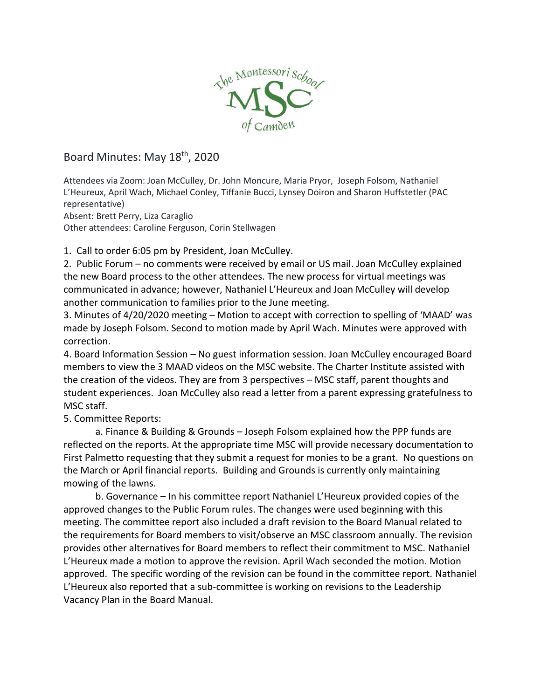

## Board Minutes: May 18th, 2020

Attendees via Zoom: Joan McCulley, Dr. John Moncure, Maria Pryor, Joseph Folsom, Nathaniel L'Heureux, April Wach, Michael Conley, Tiffanie Bucci, Lynsey Doiron and Sharon Huffstetler (PAC representative)

Absent: Brett Perry, Liza Caraglio

Other attendees: Caroline Ferguson, Corin Stellwagen

1. Call to order 6:05 pm by President, Joan McCulley.

2. Public Forum – no comments were received by email or US mail. Joan McCulley explained the new Board process to the other attendees. The new process for virtual meetings was communicated in advance; however, Nathaniel L'Heureux and Joan McCulley will develop another communication to families prior to the June meeting.

3. Minutes of 4/20/2020 meeting – Motion to accept with correction to spelling of 'MAAD' was made by Joseph Folsom. Second to motion made by April Wach. Minutes were approved with correction.

4. Board Information Session – No guest information session. Joan McCulley encouraged Board members to view the 3 MAAD videos on the MSC website. The Charter Institute assisted with the creation of the videos. They are from 3 perspectives – MSC staff, parent thoughts and student experiences. Joan McCulley also read a letter from a parent expressing gratefulness to MSC staff.

5. Committee Reports:

a. Finance & Building & Grounds – Joseph Folsom explained how the PPP funds are reflected on the reports. At the appropriate time MSC will provide necessary documentation to First Palmetto requesting that they submit a request for monies to be a grant. No questions on the March or April financial reports. Building and Grounds is currently only maintaining mowing of the lawns.

b. Governance – In his committee report Nathaniel L'Heureux provided copies of the approved changes to the Public Forum rules. The changes were used beginning with this meeting. The committee report also included a draft revision to the Board Manual related to the requirements for Board members to visit/observe an MSC classroom annually. The revision provides other alternatives for Board members to reflect their commitment to MSC. Nathaniel L'Heureux made a motion to approve the revision. April Wach seconded the motion. Motion approved. The specific wording of the revision can be found in the committee report. Nathaniel L'Heureux also reported that a sub-committee is working on revisions to the Leadership Vacancy Plan in the Board Manual.